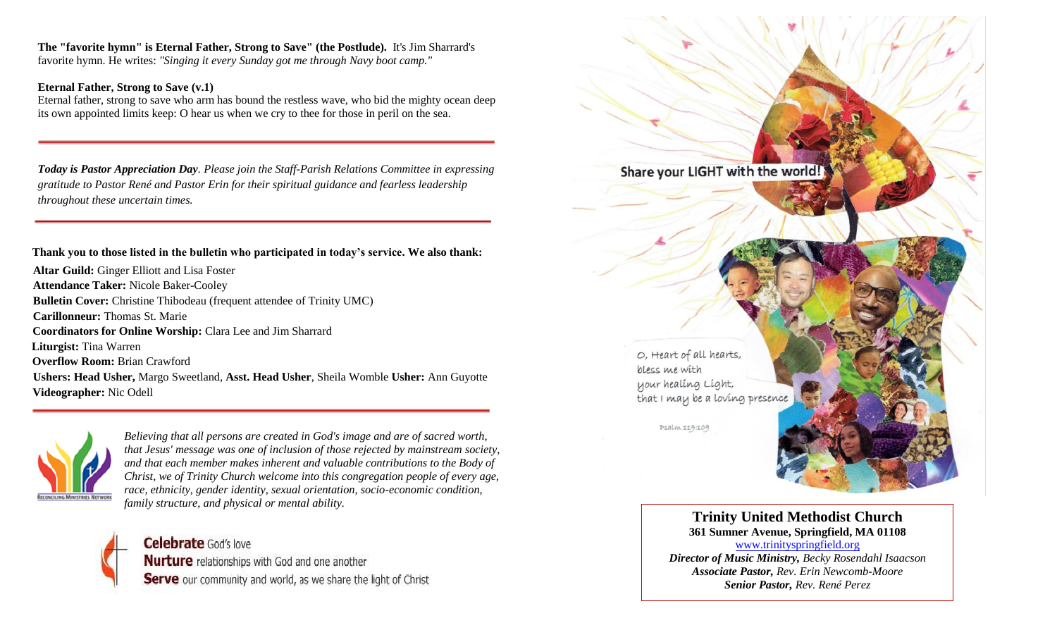**The "favorite hymn" is Eternal Father, Strong to Save" (the Postlude).** It's Jim Sharrard's favorite hymn. He writes: *"Singing it every Sunday got me through Navy boot camp."*

#### **Eternal Father, Strong to Save (v.1)**

Eternal father, strong to save who arm has bound the restless wave, who bid the mighty ocean deep its own appointed limits keep: O hear us when we cry to thee for those in peril on the sea.

*Today is Pastor Appreciation Day. Please join the Staff-Parish Relations Committee in expressing gratitude to Pastor René and Pastor Erin for their spiritual guidance and fearless leadership throughout these uncertain times.*

 **Thank you to those listed in the bulletin who participated in today's service. We also thank:**

**Altar Guild:** Ginger Elliott and Lisa Foster **Attendance Taker:** Nicole Baker-Cooley **Bulletin Cover:** Christine Thibodeau (frequent attendee of Trinity UMC) **Carillonneur:** Thomas St. Marie  **Coordinators for Online Worship:** Clara Lee and Jim Sharrard  **Liturgist:** Tina Warren  **Overflow Room:** Brian Crawford **Ushers: Head Usher,** Margo Sweetland, **Asst. Head Usher**, Sheila Womble **Usher:** Ann Guyotte  **Videographer:** Nic Odell



*Believing that all persons are created in God's image and are of sacred worth, that Jesus' message was one of inclusion of those rejected by mainstream society, and that each member makes inherent and valuable contributions to the Body of Christ, we of Trinity Church welcome into this congregation people of every age, race, ethnicity, gender identity, sexual orientation, socio-economic condition, family structure, and physical or mental ability.*



Share your LIGHT with the world! O, Heart of all hearts, bless me with your healing Light, that I may be a loving presence Psalm 119:109

> **Trinity United Methodist Church 361 Sumner Avenue, Springfield, MA 01108** [www.trinityspringfield.org](http://www.trinityspringfield.org/)

*Director of Music Ministry, Becky Rosendahl Isaacson Associate Pastor, Rev. Erin Newcomb-Moore Senior Pastor, Rev. René Perez*